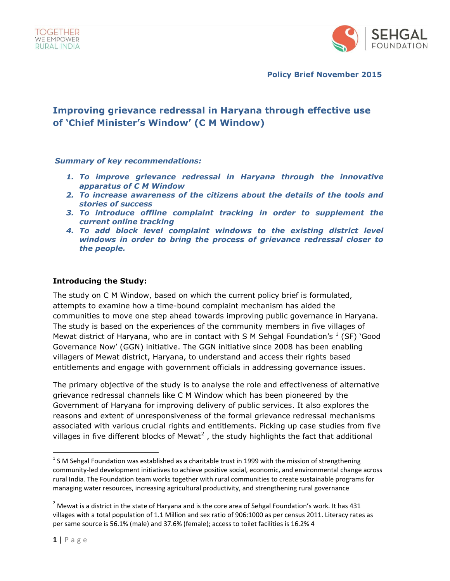

**Policy Brief November 2015**

# **Improving grievance redressal in Haryana through effective use of 'Chief Minister's Window' (C M Window)**

#### *Summary of key recommendations:*

- *1. To improve grievance redressal in Haryana through the innovative apparatus of C M Window*
- *2. To increase awareness of the citizens about the details of the tools and stories of success*
- *3. To introduce offline complaint tracking in order to supplement the current online tracking*
- *4. To add block level complaint windows to the existing district level windows in order to bring the process of grievance redressal closer to the people.*

#### **Introducing the Study:**

The study on C M Window, based on which the current policy brief is formulated, attempts to examine how a time-bound complaint mechanism has aided the communities to move one step ahead towards improving public governance in Haryana. The study is based on the experiences of the community members in five villages of Mewat district of Haryana, who are in contact with S M Sehgal Foundation's  $^1$  (SF) `Good Governance Now' (GGN) initiative. The GGN initiative since 2008 has been enabling villagers of Mewat district, Haryana, to understand and access their rights based entitlements and engage with government officials in addressing governance issues.

The primary objective of the study is to analyse the role and effectiveness of alternative grievance redressal channels like C M Window which has been pioneered by the Government of Haryana for improving delivery of public services. It also explores the reasons and extent of unresponsiveness of the formal grievance redressal mechanisms associated with various crucial rights and entitlements. Picking up case studies from five villages in five different blocks of Mewat<sup>2</sup>, the study highlights the fact that additional

 $\overline{\phantom{a}}$ 

 $^{1}$  S M Sehgal Foundation was established as a charitable trust in 1999 with the mission of strengthening community-led development initiatives to achieve positive social, economic, and environmental change across rural India. The Foundation team works together with rural communities to create sustainable programs for managing water resources, increasing agricultural productivity, and strengthening rural governance

 $2$  Mewat is a district in the state of Haryana and is the core area of Sehgal Foundation's work. It has 431 villages with a total population of 1.1 Million and sex ratio of 906:1000 as per census 2011. Literacy rates as per same source is 56.1% (male) and 37.6% (female); access to toilet facilities is 16.2% 4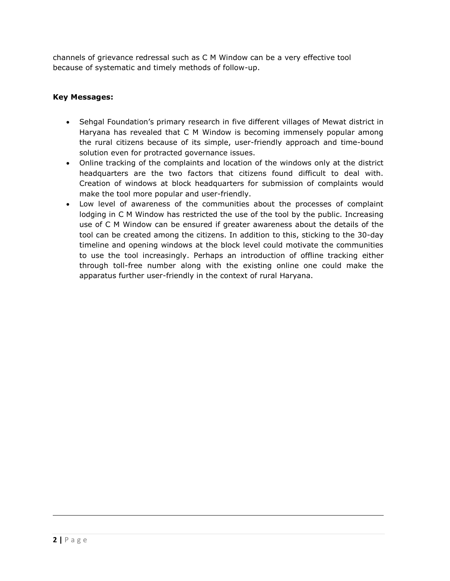channels of grievance redressal such as C M Window can be a very effective tool because of systematic and timely methods of follow-up.

#### **Key Messages:**

- Sehgal Foundation's primary research in five different villages of Mewat district in Haryana has revealed that C M Window is becoming immensely popular among the rural citizens because of its simple, user-friendly approach and time-bound solution even for protracted governance issues.
- Online tracking of the complaints and location of the windows only at the district headquarters are the two factors that citizens found difficult to deal with. Creation of windows at block headquarters for submission of complaints would make the tool more popular and user-friendly.
- Low level of awareness of the communities about the processes of complaint lodging in C M Window has restricted the use of the tool by the public. Increasing use of C M Window can be ensured if greater awareness about the details of the tool can be created among the citizens. In addition to this, sticking to the 30-day timeline and opening windows at the block level could motivate the communities to use the tool increasingly. Perhaps an introduction of offline tracking either through toll-free number along with the existing online one could make the apparatus further user-friendly in the context of rural Haryana.

 $\overline{\phantom{a}}$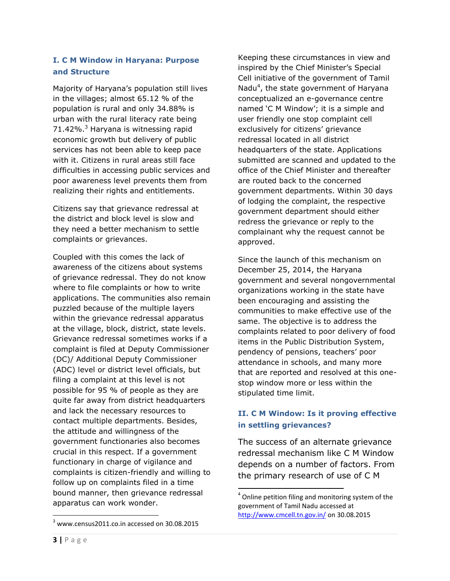## **I. C M Window in Haryana: Purpose and Structure**

Majority of Haryana's population still lives in the villages; almost 65.12 % of the population is rural and only 34.88% is urban with the rural literacy rate being 71.42%.<sup>3</sup> Haryana is witnessing rapid economic growth but delivery of public services has not been able to keep pace with it. Citizens in rural areas still face difficulties in accessing public services and poor awareness level prevents them from realizing their rights and entitlements.

Citizens say that grievance redressal at the district and block level is slow and they need a better mechanism to settle complaints or grievances.

Coupled with this comes the lack of awareness of the citizens about systems of grievance redressal. They do not know where to file complaints or how to write applications. The communities also remain puzzled because of the multiple layers within the grievance redressal apparatus at the village, block, district, state levels. Grievance redressal sometimes works if a complaint is filed at Deputy Commissioner (DC)/ Additional Deputy Commissioner (ADC) level or district level officials, but filing a complaint at this level is not possible for 95 % of people as they are quite far away from district headquarters and lack the necessary resources to contact multiple departments. Besides, the attitude and willingness of the government functionaries also becomes crucial in this respect. If a government functionary in charge of vigilance and complaints is citizen-friendly and willing to follow up on complaints filed in a time bound manner, then grievance redressal apparatus can work wonder.

Keeping these circumstances in view and inspired by the Chief Minister's Special Cell initiative of the government of Tamil Nadu<sup>4</sup>, the state government of Haryana conceptualized an e-governance centre named 'C M Window'; it is a simple and user friendly one stop complaint cell exclusively for citizens' grievance redressal located in all district headquarters of the state. Applications submitted are scanned and updated to the office of the Chief Minister and thereafter are routed back to the concerned government departments. Within 30 days of lodging the complaint, the respective government department should either redress the grievance or reply to the complainant why the request cannot be approved.

Since the launch of this mechanism on December 25, 2014, the Haryana government and several nongovernmental organizations working in the state have been encouraging and assisting the communities to make effective use of the same. The objective is to address the complaints related to poor delivery of food items in the Public Distribution System, pendency of pensions, teachers' poor attendance in schools, and many more that are reported and resolved at this onestop window more or less within the stipulated time limit.

## **II. C M Window: Is it proving effective in settling grievances?**

The success of an alternate grievance redressal mechanism like C M Window depends on a number of factors. From the primary research of use of C M

 $\overline{a}$ 

 $\overline{\phantom{a}}$ 

<sup>&</sup>lt;sup>4</sup> Online petition filing and monitoring system of the government of Tamil Nadu accessed at <http://www.cmcell.tn.gov.in/> on 30.08.2015

 $3$  www.census2011.co.in accessed on 30.08.2015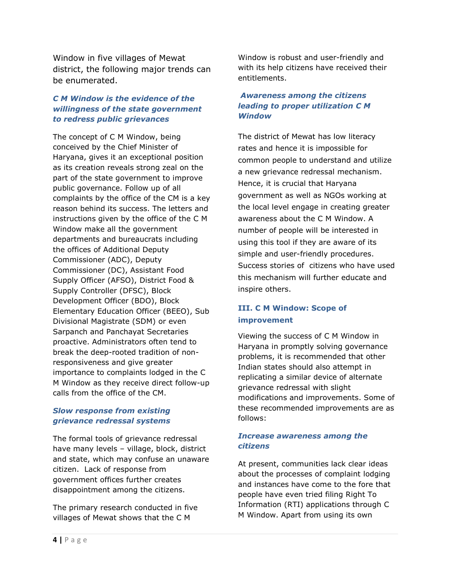Window in five villages of Mewat district, the following major trends can be enumerated.

### *C M Window is the evidence of the willingness of the state government to redress public grievances*

The concept of C M Window, being conceived by the Chief Minister of Haryana, gives it an exceptional position as its creation reveals strong zeal on the part of the state government to improve public governance. Follow up of all complaints by the office of the CM is a key reason behind its success. The letters and instructions given by the office of the C M Window make all the government departments and bureaucrats including the offices of Additional Deputy Commissioner (ADC), Deputy Commissioner (DC), Assistant Food Supply Officer (AFSO), District Food & Supply Controller (DFSC), Block Development Officer (BDO), Block Elementary Education Officer (BEEO), Sub Divisional Magistrate (SDM) or even Sarpanch and Panchayat Secretaries proactive. Administrators often tend to break the deep-rooted tradition of nonresponsiveness and give greater importance to complaints lodged in the C M Window as they receive direct follow-up calls from the office of the CM.

#### *Slow response from existing grievance redressal systems*

The formal tools of grievance redressal have many levels – village, block, district and state, which may confuse an unaware citizen. Lack of response from government offices further creates disappointment among the citizens.

The primary research conducted in five villages of Mewat shows that the C M

Window is robust and user-friendly and with its help citizens have received their entitlements.

#### *Awareness among the citizens leading to proper utilization C M Window*

The district of Mewat has low literacy rates and hence it is impossible for common people to understand and utilize a new grievance redressal mechanism. Hence, it is crucial that Haryana government as well as NGOs working at the local level engage in creating greater awareness about the C M Window. A number of people will be interested in using this tool if they are aware of its simple and user-friendly procedures. Success stories of citizens who have used this mechanism will further educate and inspire others.

## **III. C M Window: Scope of improvement**

Viewing the success of C M Window in Haryana in promptly solving governance problems, it is recommended that other Indian states should also attempt in replicating a similar device of alternate grievance redressal with slight modifications and improvements. Some of these recommended improvements are as follows:

#### *Increase awareness among the citizens*

At present, communities lack clear ideas about the processes of complaint lodging and instances have come to the fore that people have even tried filing Right To Information (RTI) applications through C M Window. Apart from using its own